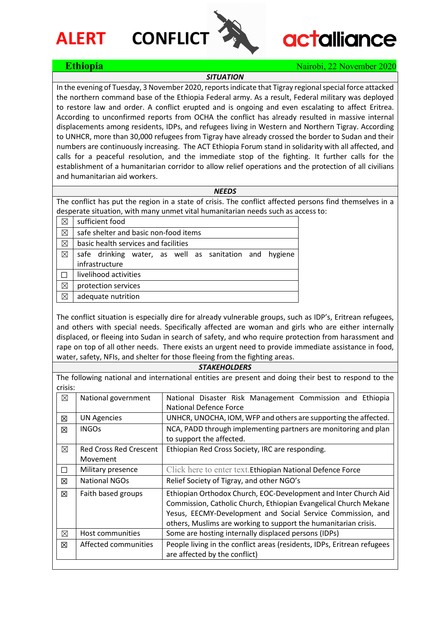## **ALERT CONFLICT**



# **actalliance**

### **Ethiopia Nairobi, 22 November 2020**

### *SITUATION*

In the evening of Tuesday, 3 November 2020, reports indicate that Tigray regional special force attacked the northern command base of the Ethiopia Federal army. As a result, Federal military was deployed to restore law and order. A conflict erupted and is ongoing and even escalating to affect Eritrea. According to unconfirmed reports from OCHA the conflict has already resulted in massive internal displacements among residents, IDPs, and refugees living in Western and Northern Tigray. According to UNHCR, more than 30,000 refugees from Tigray have already crossed the border to Sudan and their numbers are continuously increasing. The ACT Ethiopia Forum stand in solidarity with all affected, and calls for a peaceful resolution, and the immediate stop of the fighting. It further calls for the establishment of a humanitarian corridor to allow relief operations and the protection of all civilians and humanitarian aid workers.

#### *NEEDS*

The conflict has put the region in a state of crisis. The conflict affected persons find themselves in a desperate situation, with many unmet vital humanitarian needs such as access to:

| ⊠ | sufficient food                                        |  |  |
|---|--------------------------------------------------------|--|--|
| ⊠ | safe shelter and basic non-food items                  |  |  |
| ⊠ | basic health services and facilities                   |  |  |
| ⊠ | safe drinking water, as well as sanitation and hygiene |  |  |
|   | infrastructure                                         |  |  |
|   | livelihood activities                                  |  |  |
| ⊠ | protection services                                    |  |  |
|   | adequate nutrition                                     |  |  |

The conflict situation is especially dire for already vulnerable groups, such as IDP's, Eritrean refugees, and others with special needs. Specifically affected are woman and girls who are either internally displaced, or fleeing into Sudan in search of safety, and who require protection from harassment and rape on top of all other needs. There exists an urgent need to provide immediate assistance in food, water, safety, NFIs, and shelter for those fleeing from the fighting areas.

#### *STAKEHOLDERS*

The following national and international entities are present and doing their best to respond to the crisis:

| u ibid.     |                               |                                                                                            |
|-------------|-------------------------------|--------------------------------------------------------------------------------------------|
| $\boxtimes$ | National government           | National Disaster Risk Management Commission and Ethiopia<br><b>National Defence Force</b> |
|             |                               |                                                                                            |
| 区           | <b>UN Agencies</b>            | UNHCR, UNOCHA, IOM, WFP and others are supporting the affected.                            |
| 冈           | <b>INGOs</b>                  | NCA, PADD through implementing partners are monitoring and plan                            |
|             |                               | to support the affected.                                                                   |
| $\boxtimes$ | <b>Red Cross Red Crescent</b> | Ethiopian Red Cross Society, IRC are responding.                                           |
|             | Movement                      |                                                                                            |
| П           | Military presence             | Click here to enter text. Ethiopian National Defence Force                                 |
| 冈           | <b>National NGOs</b>          | Relief Society of Tigray, and other NGO's                                                  |
| 冈           | Faith based groups            | Ethiopian Orthodox Church, EOC-Development and Inter Church Aid                            |
|             |                               | Commission, Catholic Church, Ethiopian Evangelical Church Mekane                           |
|             |                               | Yesus, EECMY-Development and Social Service Commission, and                                |
|             |                               | others, Muslims are working to support the humanitarian crisis.                            |
| ⊠           | Host communities              | Some are hosting internally displaced persons (IDPs)                                       |
| 冈           | Affected communities          | People living in the conflict areas (residents, IDPs, Eritrean refugees                    |
|             |                               | are affected by the conflict)                                                              |
|             |                               |                                                                                            |